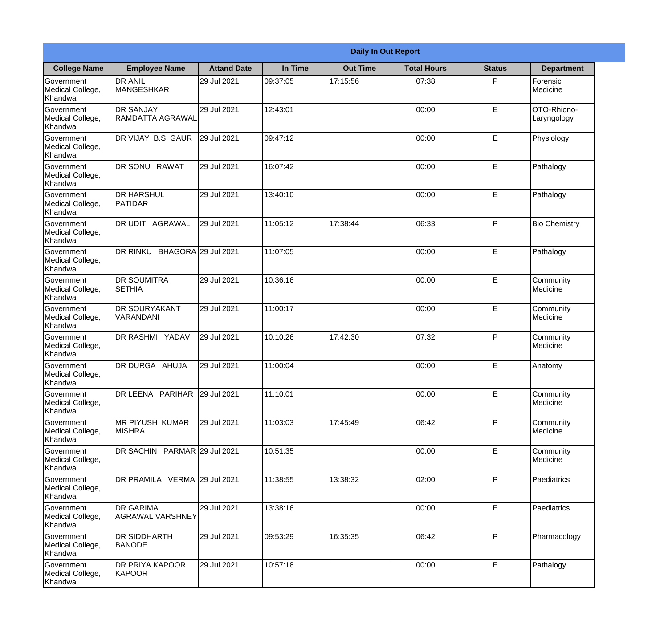|                                                  | <b>Daily In Out Report</b>                  |                    |          |                 |                    |               |                            |  |
|--------------------------------------------------|---------------------------------------------|--------------------|----------|-----------------|--------------------|---------------|----------------------------|--|
| <b>College Name</b>                              | <b>Employee Name</b>                        | <b>Attand Date</b> | In Time  | <b>Out Time</b> | <b>Total Hours</b> | <b>Status</b> | <b>Department</b>          |  |
| Government<br>Medical College,<br>Khandwa        | <b>DR ANIL</b><br><b>MANGESHKAR</b>         | 29 Jul 2021        | 09:37:05 | 17:15:56        | 07:38              | P             | Forensic<br>Medicine       |  |
| Government<br>Medical College,<br>Khandwa        | <b>DR SANJAY</b><br><b>RAMDATTA AGRAWAL</b> | 29 Jul 2021        | 12:43:01 |                 | 00:00              | E             | OTO-Rhiono-<br>Laryngology |  |
| <b>Government</b><br>Medical College,<br>Khandwa | DR VIJAY B.S. GAUR                          | 29 Jul 2021        | 09:47:12 |                 | 00:00              | E             | Physiology                 |  |
| Government<br>Medical College,<br>Khandwa        | DR SONU RAWAT                               | 29 Jul 2021        | 16:07:42 |                 | 00:00              | E             | Pathalogy                  |  |
| Government<br>Medical College,<br>Khandwa        | <b>DR HARSHUL</b><br>PATIDAR                | 29 Jul 2021        | 13:40:10 |                 | 00:00              | E             | Pathalogy                  |  |
| Government<br>Medical College,<br>Khandwa        | DR UDIT AGRAWAL                             | 29 Jul 2021        | 11:05:12 | 17:38:44        | 06:33              | P             | <b>Bio Chemistry</b>       |  |
| Government<br>Medical College,<br>Khandwa        | DR RINKU BHAGORA 29 Jul 2021                |                    | 11:07:05 |                 | 00:00              | E             | Pathalogy                  |  |
| Government<br>Medical College,<br>Khandwa        | <b>DR SOUMITRA</b><br><b>SETHIA</b>         | 29 Jul 2021        | 10:36:16 |                 | 00:00              | E             | Community<br>Medicine      |  |
| Government<br>Medical College,<br>Khandwa        | <b>DR SOURYAKANT</b><br>VARANDANI           | 29 Jul 2021        | 11:00:17 |                 | 00:00              | E             | Community<br>Medicine      |  |
| Government<br>Medical College,<br>Khandwa        | DR RASHMI YADAV                             | 29 Jul 2021        | 10:10:26 | 17:42:30        | 07:32              | P             | Community<br>Medicine      |  |
| Government<br>Medical College,<br>Khandwa        | DR DURGA AHUJA                              | 29 Jul 2021        | 11:00:04 |                 | 00:00              | E             | Anatomy                    |  |
| Government<br>Medical College,<br>Khandwa        | DR LEENA PARIHAR                            | 29 Jul 2021        | 11:10:01 |                 | 00:00              | E             | Community<br>Medicine      |  |
| Government<br>Medical College,<br>Khandwa        | MR PIYUSH KUMAR<br><b>MISHRA</b>            | 29 Jul 2021        | 11:03:03 | 17:45:49        | 06:42              | P             | Community<br>Medicine      |  |
| Government<br>Medical College,<br>Khandwa        | DR SACHIN PARMAR 29 Jul 2021                |                    | 10:51:35 |                 | 00:00              | E             | Community<br>Medicine      |  |
| <b>Government</b><br>Medical College,<br>Khandwa | DR PRAMILA VERMA 29 Jul 2021                |                    | 11:38:55 | 13:38:32        | 02:00              | P             | <b>Paediatrics</b>         |  |
| Government<br>Medical College,<br>Khandwa        | <b>DR GARIMA</b><br>AGRAWAL VARSHNEY        | 29 Jul 2021        | 13:38:16 |                 | 00:00              | E             | Paediatrics                |  |
| Government<br>Medical College,<br>Khandwa        | <b>DR SIDDHARTH</b><br><b>BANODE</b>        | 29 Jul 2021        | 09:53:29 | 16:35:35        | 06:42              | P             | Pharmacology               |  |
| Government<br>Medical College,<br>Khandwa        | DR PRIYA KAPOOR<br>KAPOOR                   | 29 Jul 2021        | 10:57:18 |                 | 00:00              | E             | Pathalogy                  |  |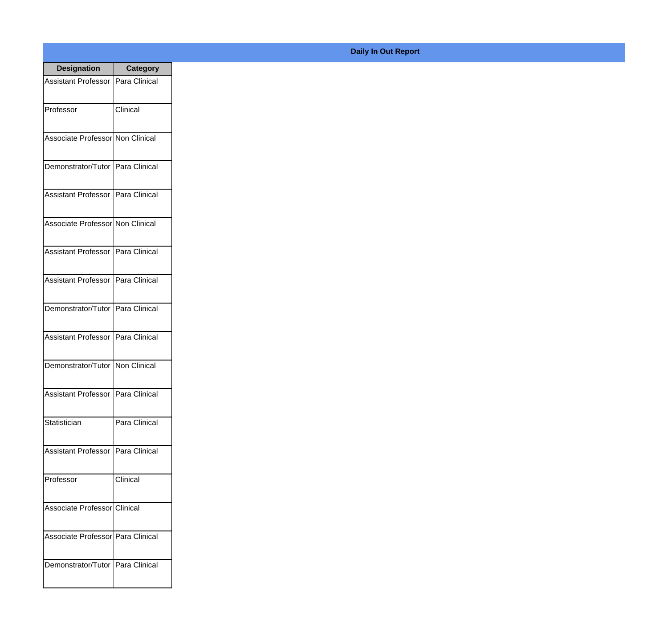| <b>Designation</b>                  | <b>Category</b> |
|-------------------------------------|-----------------|
| Assistant Professor   Para Clinical |                 |
| Professor                           | Clinical        |
| Associate Professor Non Clinical    |                 |
| Demonstrator/Tutor   Para Clinical  |                 |
| Assistant Professor   Para Clinical |                 |
| Associate Professor Non Clinical    |                 |
| Assistant Professor   Para Clinical |                 |
| Assistant Professor   Para Clinical |                 |
| Demonstrator/Tutor   Para Clinical  |                 |
| Assistant Professor   Para Clinical |                 |
| Demonstrator/Tutor   Non Clinical   |                 |
| Assistant Professor   Para Clinical |                 |
| Statistician                        | Para Clinical   |
| Assistant Professor   Para Clinical |                 |
| Professor                           | Clinical        |
| Associate Professor Clinical        |                 |
| Associate Professor   Para Clinical |                 |
| Demonstrator/Tutor   Para Clinical  |                 |

## **Daily In Out Report**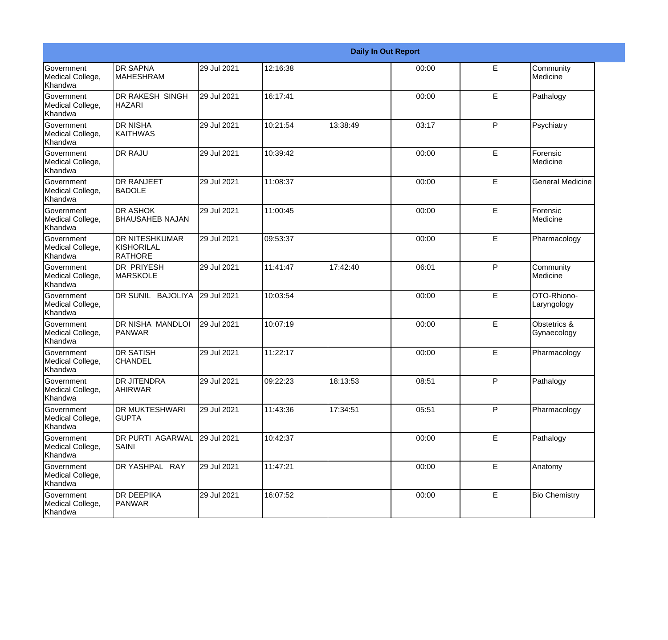|                                                  |                                                |             |          |          | <b>Daily In Out Report</b> |   |                             |
|--------------------------------------------------|------------------------------------------------|-------------|----------|----------|----------------------------|---|-----------------------------|
| Government<br>Medical College,<br>Khandwa        | <b>DR SAPNA</b><br><b>MAHESHRAM</b>            | 29 Jul 2021 | 12:16:38 |          | 00:00                      | E | Community<br>Medicine       |
| Government<br>Medical College,<br>Khandwa        | <b>DR RAKESH SINGH</b><br><b>HAZARI</b>        | 29 Jul 2021 | 16:17:41 |          | 00:00                      | E | Pathalogy                   |
| <b>Government</b><br>Medical College,<br>Khandwa | <b>DR NISHA</b><br>KAITHWAS                    | 29 Jul 2021 | 10:21:54 | 13:38:49 | 03:17                      | P | Psychiatry                  |
| Government<br>Medical College,<br>Khandwa        | <b>DR RAJU</b>                                 | 29 Jul 2021 | 10:39:42 |          | 00:00                      | E | Forensic<br>Medicine        |
| Government<br>Medical College,<br>Khandwa        | <b>DR RANJEET</b><br><b>BADOLE</b>             | 29 Jul 2021 | 11:08:37 |          | 00:00                      | E | <b>General Medicine</b>     |
| Government<br>Medical College,<br>Khandwa        | <b>DR ASHOK</b><br><b>BHAUSAHEB NAJAN</b>      | 29 Jul 2021 | 11:00:45 |          | 00:00                      | E | Forensic<br>Medicine        |
| <b>Government</b><br>Medical College,<br>Khandwa | <b>DR NITESHKUMAR</b><br>KISHORILAL<br>RATHORE | 29 Jul 2021 | 09:53:37 |          | 00:00                      | E | Pharmacology                |
| Government<br>Medical College,<br>Khandwa        | <b>DR PRIYESH</b><br>MARSKOLE                  | 29 Jul 2021 | 11:41:47 | 17:42:40 | 06:01                      | P | Community<br>Medicine       |
| Government<br>Medical College,<br>Khandwa        | DR SUNIL BAJOLIYA                              | 29 Jul 2021 | 10:03:54 |          | 00:00                      | E | OTO-Rhiono-<br>Laryngology  |
| Government<br>Medical College,<br>Khandwa        | DR NISHA MANDLOI<br><b>PANWAR</b>              | 29 Jul 2021 | 10:07:19 |          | 00:00                      | E | Obstetrics &<br>Gynaecology |
| Government<br>Medical College,<br>Khandwa        | <b>DR SATISH</b><br><b>CHANDEL</b>             | 29 Jul 2021 | 11:22:17 |          | 00:00                      | E | Pharmacology                |
| Government<br>Medical College,<br>Khandwa        | <b>DR JITENDRA</b><br><b>AHIRWAR</b>           | 29 Jul 2021 | 09:22:23 | 18:13:53 | 08:51                      | P | Pathalogy                   |
| Government<br>Medical College,<br>Khandwa        | DR MUKTESHWARI<br><b>GUPTA</b>                 | 29 Jul 2021 | 11:43:36 | 17:34:51 | 05:51                      | P | Pharmacology                |
| Government<br>Medical College,<br>Khandwa        | <b>DR PURTI AGARWAL</b><br><b>SAINI</b>        | 29 Jul 2021 | 10:42:37 |          | 00:00                      | E | Pathalogy                   |
| Government<br>Medical College,<br>Khandwa        | DR YASHPAL RAY                                 | 29 Jul 2021 | 11:47:21 |          | 00:00                      | E | Anatomy                     |
| Government<br>Medical College,<br>Khandwa        | <b>DR DEEPIKA</b><br>PANWAR                    | 29 Jul 2021 | 16:07:52 |          | 00:00                      | E | <b>Bio Chemistry</b>        |